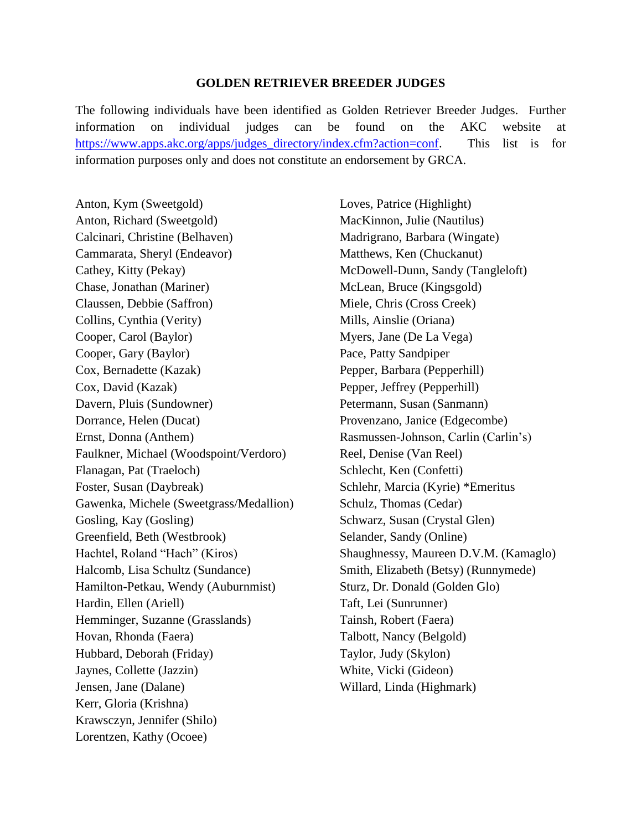## **GOLDEN RETRIEVER BREEDER JUDGES**

The following individuals have been identified as Golden Retriever Breeder Judges. Further information on individual judges can be found on the AKC website at [https://www.apps.akc.org/apps/judges\\_directory/index.cfm?action=conf.](https://www.apps.akc.org/apps/judges_directory/index.cfm?action=conf) This list is for information purposes only and does not constitute an endorsement by GRCA.

Anton, Kym (Sweetgold) Anton, Richard (Sweetgold) Calcinari, Christine (Belhaven) Cammarata, Sheryl (Endeavor) Cathey, Kitty (Pekay) Chase, Jonathan (Mariner) Claussen, Debbie (Saffron) Collins, Cynthia (Verity) Cooper, Carol (Baylor) Cooper, Gary (Baylor) Cox, Bernadette (Kazak) Cox, David (Kazak) Davern, Pluis (Sundowner) Dorrance, Helen (Ducat) Ernst, Donna (Anthem) Faulkner, Michael (Woodspoint/Verdoro) Flanagan, Pat (Traeloch) Foster, Susan (Daybreak) Gawenka, Michele (Sweetgrass/Medallion) Gosling, Kay (Gosling) Greenfield, Beth (Westbrook) Hachtel, Roland "Hach" (Kiros) Halcomb, Lisa Schultz (Sundance) Hamilton-Petkau, Wendy (Auburnmist) Hardin, Ellen (Ariell) Hemminger, Suzanne (Grasslands) Hovan, Rhonda (Faera) Hubbard, Deborah (Friday) Jaynes, Collette (Jazzin) Jensen, Jane (Dalane) Kerr, Gloria (Krishna) Krawsczyn, Jennifer (Shilo) Lorentzen, Kathy (Ocoee)

Loves, Patrice (Highlight) MacKinnon, Julie (Nautilus) Madrigrano, Barbara (Wingate) Matthews, Ken (Chuckanut) McDowell-Dunn, Sandy (Tangleloft) McLean, Bruce (Kingsgold) Miele, Chris (Cross Creek) Mills, Ainslie (Oriana) Myers, Jane (De La Vega) Pace, Patty Sandpiper Pepper, Barbara (Pepperhill) Pepper, Jeffrey (Pepperhill) Petermann, Susan (Sanmann) Provenzano, Janice (Edgecombe) Rasmussen-Johnson, Carlin (Carlin's) Reel, Denise (Van Reel) Schlecht, Ken (Confetti) Schlehr, Marcia (Kyrie) \*Emeritus Schulz, Thomas (Cedar) Schwarz, Susan (Crystal Glen) Selander, Sandy (Online) Shaughnessy, Maureen D.V.M. (Kamaglo) Smith, Elizabeth (Betsy) (Runnymede) Sturz, Dr. Donald (Golden Glo) Taft, Lei (Sunrunner) Tainsh, Robert (Faera) Talbott, Nancy (Belgold) Taylor, Judy (Skylon) White, Vicki (Gideon) Willard, Linda (Highmark)